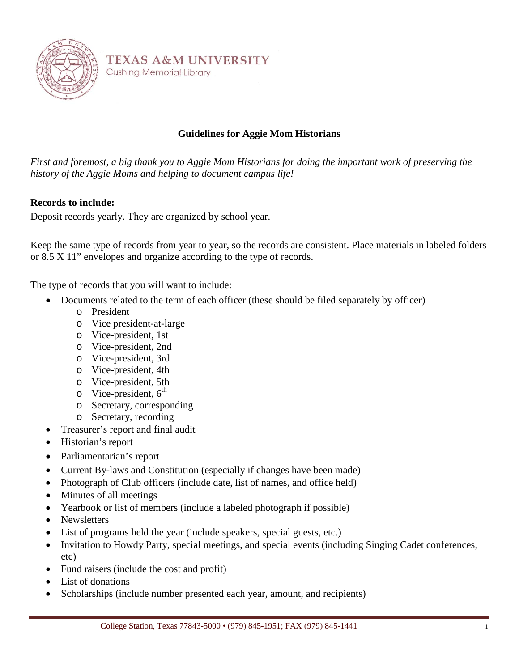

**TEXAS A&M UNIVERSITY Cushing Memorial Library** 

# **Guidelines for Aggie Mom Historians**

*First and foremost, a big thank you to Aggie Mom Historians for doing the important work of preserving the history of the Aggie Moms and helping to document campus life!*

## **Records to include:**

Deposit records yearly. They are organized by school year.

Keep the same type of records from year to year, so the records are consistent. Place materials in labeled folders or 8.5 X 11" envelopes and organize according to the type of records.

The type of records that you will want to include:

- Documents related to the term of each officer (these should be filed separately by officer)
	- o President
	- o Vice president-at-large
	- o Vice-president, 1st
	- o Vice-president, 2nd
	- o Vice-president, 3rd
	- o Vice-president, 4th
	- o Vice-president, 5th
	- $\circ$  Vice-president,  $6^{th}$
	- o Secretary, corresponding
	- o Secretary, recording
- Treasurer's report and final audit
- Historian's report
- Parliamentarian's report
- Current By-laws and Constitution (especially if changes have been made)
- Photograph of Club officers (include date, list of names, and office held)
- Minutes of all meetings
- Yearbook or list of members (include a labeled photograph if possible)
- Newsletters
- List of programs held the year (include speakers, special guests, etc.)
- Invitation to Howdy Party, special meetings, and special events (including Singing Cadet conferences, etc)
- Fund raisers (include the cost and profit)
- List of donations
- Scholarships (include number presented each year, amount, and recipients)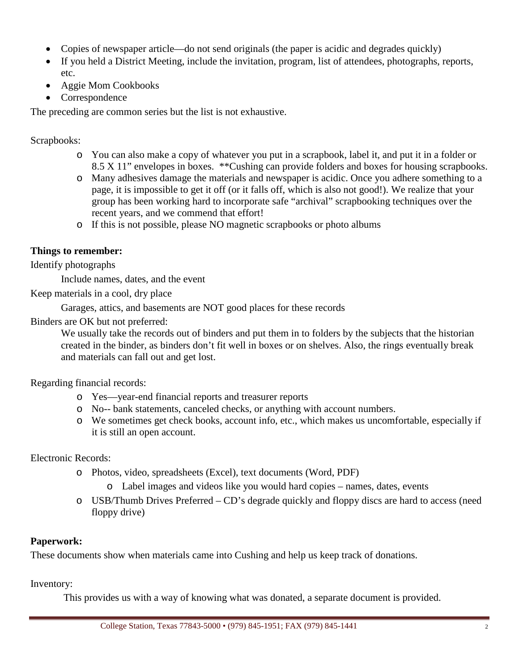- Copies of newspaper article—do not send originals (the paper is acidic and degrades quickly)
- If you held a District Meeting, include the invitation, program, list of attendees, photographs, reports, etc.
- Aggie Mom Cookbooks
- Correspondence

The preceding are common series but the list is not exhaustive.

Scrapbooks:

- o You can also make a copy of whatever you put in a scrapbook, label it, and put it in a folder or 8.5 X 11" envelopes in boxes. \*\*Cushing can provide folders and boxes for housing scrapbooks.
- o Many adhesives damage the materials and newspaper is acidic. Once you adhere something to a page, it is impossible to get it off (or it falls off, which is also not good!). We realize that your group has been working hard to incorporate safe "archival" scrapbooking techniques over the recent years, and we commend that effort!
- o If this is not possible, please NO magnetic scrapbooks or photo albums

#### **Things to remember:**

Identify photographs

Include names, dates, and the event

Keep materials in a cool, dry place

Garages, attics, and basements are NOT good places for these records

Binders are OK but not preferred:

We usually take the records out of binders and put them in to folders by the subjects that the historian created in the binder, as binders don't fit well in boxes or on shelves. Also, the rings eventually break and materials can fall out and get lost.

Regarding financial records:

- o Yes—year-end financial reports and treasurer reports
- o No-- bank statements, canceled checks, or anything with account numbers.
- o We sometimes get check books, account info, etc., which makes us uncomfortable, especially if it is still an open account.

#### Electronic Records:

- o Photos, video, spreadsheets (Excel), text documents (Word, PDF)
	- o Label images and videos like you would hard copies names, dates, events
- o USB/Thumb Drives Preferred CD's degrade quickly and floppy discs are hard to access (need floppy drive)

### **Paperwork:**

These documents show when materials came into Cushing and help us keep track of donations.

Inventory:

This provides us with a way of knowing what was donated, a separate document is provided.